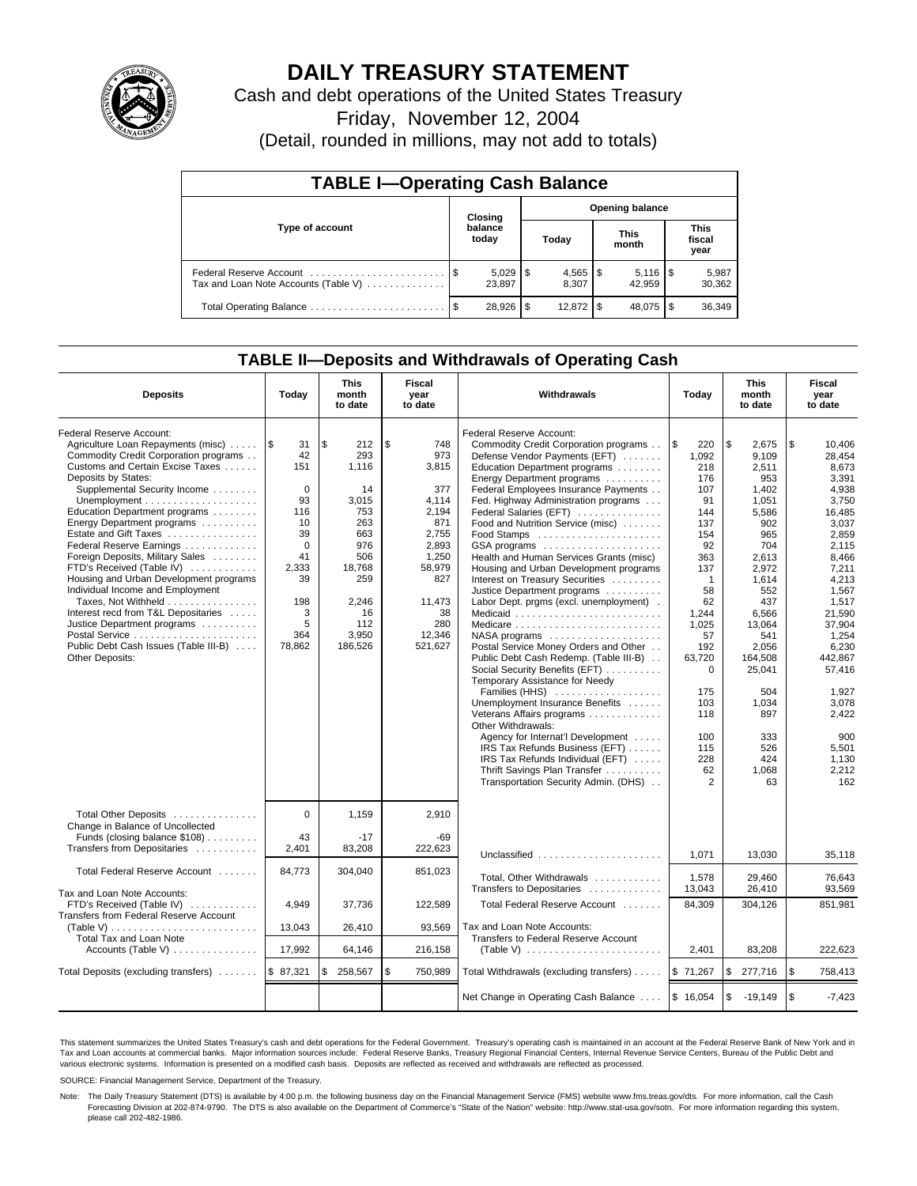

# **DAILY TREASURY STATEMENT**

Cash and debt operations of the United States Treasury

Friday, November 12, 2004

(Detail, rounded in millions, may not add to totals)

| <b>TABLE I-Operating Cash Balance</b> |         |                        |       |                        |                      |        |                               |                 |  |  |
|---------------------------------------|---------|------------------------|-------|------------------------|----------------------|--------|-------------------------------|-----------------|--|--|
|                                       | Closing |                        |       | <b>Opening balance</b> |                      |        |                               |                 |  |  |
| Type of account                       |         | balance<br>today       | Today |                        | <b>This</b><br>month |        | <b>This</b><br>fiscal<br>year |                 |  |  |
| Tax and Loan Note Accounts (Table V)  |         | $5,029$   \$<br>23.897 |       | 8.307                  |                      | 42.959 |                               | 5,987<br>30,362 |  |  |
| Total Operating Balance               | - \$    | 28,926                 | S     |                        |                      | 48,075 |                               | 36,349          |  |  |

### **TABLE II—Deposits and Withdrawals of Operating Cash**

| <b>Deposits</b>                                                                                                                                                                                                                                                                                                                                                                                                                                                                                                                                                                                                                                     | Today                                                                                                                      | <b>This</b><br>month<br>to date                                                                                                        | Fiscal<br>year<br>to date                                                                                                                         | Withdrawals                                                                                                                                                                                                                                                                                                                                                                                                                                                                                                                                                                                                                                                                                                                                                                                                                                                                                                                                                                                                                                  | Today                                                                                                                                                                                                                          | <b>This</b><br>month<br>to date                                                                                                                                                                                                                  | Fiscal<br>year<br>to date                                                                                                                                                                                                                                                   |
|-----------------------------------------------------------------------------------------------------------------------------------------------------------------------------------------------------------------------------------------------------------------------------------------------------------------------------------------------------------------------------------------------------------------------------------------------------------------------------------------------------------------------------------------------------------------------------------------------------------------------------------------------------|----------------------------------------------------------------------------------------------------------------------------|----------------------------------------------------------------------------------------------------------------------------------------|---------------------------------------------------------------------------------------------------------------------------------------------------|----------------------------------------------------------------------------------------------------------------------------------------------------------------------------------------------------------------------------------------------------------------------------------------------------------------------------------------------------------------------------------------------------------------------------------------------------------------------------------------------------------------------------------------------------------------------------------------------------------------------------------------------------------------------------------------------------------------------------------------------------------------------------------------------------------------------------------------------------------------------------------------------------------------------------------------------------------------------------------------------------------------------------------------------|--------------------------------------------------------------------------------------------------------------------------------------------------------------------------------------------------------------------------------|--------------------------------------------------------------------------------------------------------------------------------------------------------------------------------------------------------------------------------------------------|-----------------------------------------------------------------------------------------------------------------------------------------------------------------------------------------------------------------------------------------------------------------------------|
| Federal Reserve Account:<br>Agriculture Loan Repayments (misc)  S<br>Commodity Credit Corporation programs<br>Customs and Certain Excise Taxes<br>Deposits by States:<br>Supplemental Security Income<br>Education Department programs<br>Energy Department programs<br>Estate and Gift Taxes<br>Federal Reserve Earnings<br>Foreign Deposits, Military Sales<br>FTD's Received (Table IV)<br>Housing and Urban Development programs<br>Individual Income and Employment<br>Taxes, Not Withheld<br>Interest recd from T&L Depositaries<br>Justice Department programs<br>Postal Service<br>Public Debt Cash Issues (Table III-B)<br>Other Deposits: | 31<br>42<br>151<br>$\mathbf 0$<br>93<br>116<br>10<br>39<br>$\Omega$<br>41<br>2,333<br>39<br>198<br>3<br>5<br>364<br>78,862 | \$<br>212<br>293<br>1.116<br>14<br>3,015<br>753<br>263<br>663<br>976<br>506<br>18,768<br>259<br>2,246<br>16<br>112<br>3,950<br>186,526 | \$<br>748<br>973<br>3,815<br>377<br>4,114<br>2,194<br>871<br>2.755<br>2,893<br>1,250<br>58,979<br>827<br>11,473<br>38<br>280<br>12,346<br>521,627 | Federal Reserve Account:<br>Commodity Credit Corporation programs<br>Defense Vendor Payments (EFT)<br>Education Department programs<br>Energy Department programs<br>Federal Employees Insurance Payments<br>Fed. Highway Administration programs<br>Federal Salaries (EFT)<br>Food and Nutrition Service (misc)<br>Food Stamps<br>GSA programs<br>Health and Human Services Grants (misc)<br>Housing and Urban Development programs<br>Interest on Treasury Securities<br>Justice Department programs<br>Labor Dept. prgms (excl. unemployment).<br>Medicaid<br>Medicare<br>NASA programs<br>Postal Service Money Orders and Other<br>Public Debt Cash Redemp. (Table III-B)<br>Social Security Benefits (EFT)<br>Temporary Assistance for Needy<br>Families (HHS)<br>Unemployment Insurance Benefits<br>Veterans Affairs programs<br>Other Withdrawals:<br>Agency for Internat'l Development<br>IRS Tax Refunds Business (EFT)<br>IRS Tax Refunds Individual (EFT)<br>Thrift Savings Plan Transfer<br>Transportation Security Admin. (DHS) | l \$<br>220<br>1,092<br>218<br>176<br>107<br>91<br>144<br>137<br>154<br>92<br>363<br>137<br>$\mathbf{1}$<br>58<br>62<br>1,244<br>1,025<br>57<br>192<br>63,720<br>$\Omega$<br>175<br>103<br>118<br>100<br>115<br>228<br>62<br>2 | \$<br>2.675<br>9.109<br>2,511<br>953<br>1.402<br>1,051<br>5,586<br>902<br>965<br>704<br>2,613<br>2,972<br>1,614<br>552<br>437<br>6,566<br>13,064<br>541<br>2,056<br>164.508<br>25,041<br>504<br>1,034<br>897<br>333<br>526<br>424<br>1,068<br>63 | \$<br>10.406<br>28.454<br>8,673<br>3,391<br>4,938<br>3,750<br>16.485<br>3.037<br>2.859<br>2.115<br>8,466<br>7,211<br>4,213<br>1.567<br>1.517<br>21.590<br>37,904<br>1,254<br>6,230<br>442.867<br>57,416<br>1,927<br>3,078<br>2,422<br>900<br>5,501<br>1,130<br>2,212<br>162 |
| Total Other Deposits<br>Change in Balance of Uncollected<br>Funds (closing balance $$108$ )<br>Transfers from Depositaries                                                                                                                                                                                                                                                                                                                                                                                                                                                                                                                          | $\Omega$<br>43<br>2,401                                                                                                    | 1,159<br>$-17$<br>83,208                                                                                                               | 2,910<br>$-69$<br>222,623                                                                                                                         | Unclassified                                                                                                                                                                                                                                                                                                                                                                                                                                                                                                                                                                                                                                                                                                                                                                                                                                                                                                                                                                                                                                 | 1,071                                                                                                                                                                                                                          | 13,030                                                                                                                                                                                                                                           | 35.118                                                                                                                                                                                                                                                                      |
| Total Federal Reserve Account                                                                                                                                                                                                                                                                                                                                                                                                                                                                                                                                                                                                                       | 84.773                                                                                                                     | 304,040                                                                                                                                | 851,023                                                                                                                                           | Total, Other Withdrawals                                                                                                                                                                                                                                                                                                                                                                                                                                                                                                                                                                                                                                                                                                                                                                                                                                                                                                                                                                                                                     | 1,578                                                                                                                                                                                                                          | 29,460                                                                                                                                                                                                                                           | 76,643                                                                                                                                                                                                                                                                      |
| Tax and Loan Note Accounts:<br>FTD's Received (Table IV)<br>Transfers from Federal Reserve Account                                                                                                                                                                                                                                                                                                                                                                                                                                                                                                                                                  | 4,949                                                                                                                      | 37,736                                                                                                                                 | 122,589                                                                                                                                           | Transfers to Depositaries<br>Total Federal Reserve Account                                                                                                                                                                                                                                                                                                                                                                                                                                                                                                                                                                                                                                                                                                                                                                                                                                                                                                                                                                                   | 13,043<br>84,309                                                                                                                                                                                                               | 26,410<br>304,126                                                                                                                                                                                                                                | 93.569<br>851,981                                                                                                                                                                                                                                                           |
| (Table V)<br>Total Tax and Loan Note                                                                                                                                                                                                                                                                                                                                                                                                                                                                                                                                                                                                                | 13,043<br>17,992                                                                                                           | 26,410                                                                                                                                 | 93,569                                                                                                                                            | Tax and Loan Note Accounts:<br>Transfers to Federal Reserve Account                                                                                                                                                                                                                                                                                                                                                                                                                                                                                                                                                                                                                                                                                                                                                                                                                                                                                                                                                                          |                                                                                                                                                                                                                                | 83,208                                                                                                                                                                                                                                           | 222,623                                                                                                                                                                                                                                                                     |
| Accounts (Table V)                                                                                                                                                                                                                                                                                                                                                                                                                                                                                                                                                                                                                                  |                                                                                                                            | 64,146                                                                                                                                 | 216,158                                                                                                                                           | (Table V) $\ldots \ldots \ldots \ldots \ldots \ldots \ldots$                                                                                                                                                                                                                                                                                                                                                                                                                                                                                                                                                                                                                                                                                                                                                                                                                                                                                                                                                                                 | 2,401                                                                                                                                                                                                                          |                                                                                                                                                                                                                                                  |                                                                                                                                                                                                                                                                             |
| Total Deposits (excluding transfers)                                                                                                                                                                                                                                                                                                                                                                                                                                                                                                                                                                                                                | \$87,321                                                                                                                   | 258,567<br>\$                                                                                                                          | \$<br>750,989                                                                                                                                     | Total Withdrawals (excluding transfers)                                                                                                                                                                                                                                                                                                                                                                                                                                                                                                                                                                                                                                                                                                                                                                                                                                                                                                                                                                                                      | \$71,267                                                                                                                                                                                                                       | \$<br>277,716                                                                                                                                                                                                                                    | \$<br>758,413                                                                                                                                                                                                                                                               |
|                                                                                                                                                                                                                                                                                                                                                                                                                                                                                                                                                                                                                                                     |                                                                                                                            |                                                                                                                                        |                                                                                                                                                   | Net Change in Operating Cash Balance                                                                                                                                                                                                                                                                                                                                                                                                                                                                                                                                                                                                                                                                                                                                                                                                                                                                                                                                                                                                         | \$16,054                                                                                                                                                                                                                       | $\mathfrak s$<br>$-19,149$                                                                                                                                                                                                                       | \$<br>$-7,423$                                                                                                                                                                                                                                                              |

This statement summarizes the United States Treasury's cash and debt operations for the Federal Government. Treasury's operating cash is maintained in an account at the Federal Reserve Bank of New York and in Tax and Loan accounts at commercial banks. Major information sources include: Federal Reserve Banks, Treasury Regional Financial Centers, Internal Revenue Service Centers, Bureau of the Public Debt and<br>various electronic s

SOURCE: Financial Management Service, Department of the Treasury.

Note: The Daily Treasury Statement (DTS) is available by 4:00 p.m. the following business day on the Financial Management Service (FMS) website www.fms.treas.gov/dts. For more information, call the Cash Forecasting Division at 202-874-9790. The DTS is also available on the Department of Commerce's "State of the Nation" website: http://www.stat-usa.gov/sotn. For more information regarding this system, please call 202-482-1986.